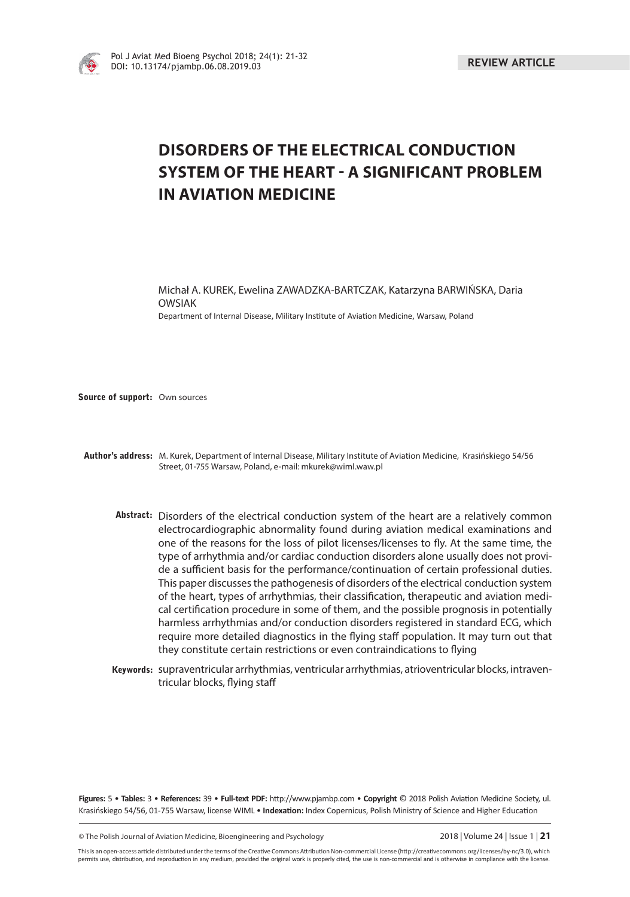

# **DISORDERS OF THE ELECTRICAL CONDUCTION SYSTEM OF THE HEART - A SIGNIFICANT PROBLEM IN AVIATION MEDICINE**

Michał A. KUREK, Ewelina ZAWADZKA-BARTCZAK, Katarzyna BARWIŃSKA, Daria OWSIAK Department of Internal Disease, Military Institute of Aviation Medicine, Warsaw, Poland

**Source of support:** Own sources

**Author's address:** M. Kurek, Department of Internal Disease, Military Institute of Aviation Medicine, Krasińskiego 54/56 Street, 01-755 Warsaw, Poland, e-mail: mkurek@wiml.waw.pl

- **Abstract:** Disorders of the electrical conduction system of the heart are a relatively common electrocardiographic abnormality found during aviation medical examinations and one of the reasons for the loss of pilot licenses/licenses to fly. At the same time, the type of arrhythmia and/or cardiac conduction disorders alone usually does not provide a sufficient basis for the performance/continuation of certain professional duties. This paper discusses the pathogenesis of disorders of the electrical conduction system of the heart, types of arrhythmias, their classification, therapeutic and aviation medical certification procedure in some of them, and the possible prognosis in potentially harmless arrhythmias and/or conduction disorders registered in standard ECG, which require more detailed diagnostics in the flying staff population. It may turn out that they constitute certain restrictions or even contraindications to flying
- Keywords: supraventricular arrhythmias, ventricular arrhythmias, atrioventricular blocks, intraventricular blocks, flying staff

Figures: 5 • Tables: 3 • References: 39 • Full-text PDF: http://www.pjambp.com • Copyright © 2018 Polish Aviation Medicine Society, ul. Krasińskiego 54/56, 01-755 Warsaw, license WIML • Indexation: Index Copernicus, Polish Ministry of Science and Higher Education

© The Polish Journal of Aviation Medicine, Bioengineering and Psychology 2018 | Volume 24 | Issue 1 | **21**

This is an open-access article distributed under the terms of the Creative Commons Attribution Non-commercial License (http://creativecommons.org/licenses/by-nc/3.0), which permits use, distribution, and reproduction in any medium, provided the original work is properly cited, the use is non-commercial and is otherwise in compliance with the license.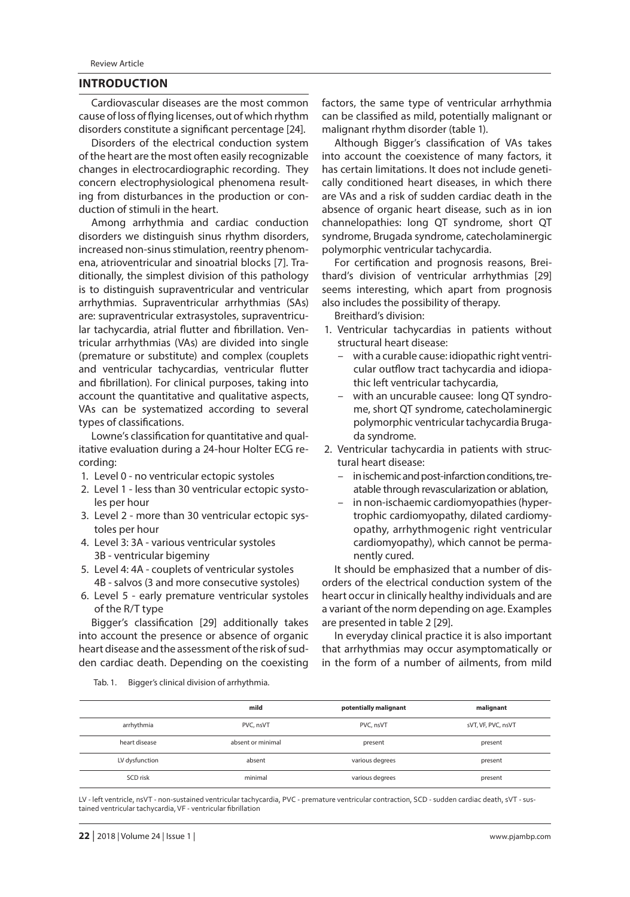# **INTRODUCTION**

Cardiovascular diseases are the most common cause of loss of flying licenses, out of which rhythm disorders constitute a significant percentage [24].

Disorders of the electrical conduction system of the heart are the most often easily recognizable changes in electrocardiographic recording. They concern electrophysiological phenomena resulting from disturbances in the production or conduction of stimuli in the heart.

Among arrhythmia and cardiac conduction disorders we distinguish sinus rhythm disorders, increased non-sinus stimulation, reentry phenomena, atrioventricular and sinoatrial blocks [7]. Traditionally, the simplest division of this pathology is to distinguish supraventricular and ventricular arrhythmias. Supraventricular arrhythmias (SAs) are: supraventricular extrasystoles, supraventricular tachycardia, atrial flutter and fibrillation. Ventricular arrhythmias (VAs) are divided into single (premature or substitute) and complex (couplets and ventricular tachycardias, ventricular flutter and fibrillation). For clinical purposes, taking into account the quantitative and qualitative aspects, VAs can be systematized according to several types of classifications.

Lowne's classification for quantitative and qualitative evaluation during a 24-hour Holter ECG recording:

- 1. Level 0 no ventricular ectopic systoles
- 2. Level 1 less than 30 ventricular ectopic systoles per hour
- 3. Level 2 more than 30 ventricular ectopic systoles per hour
- 4. Level 3: 3A various ventricular systoles 3B - ventricular bigeminy
- 5. Level 4: 4A couplets of ventricular systoles 4B - salvos (3 and more consecutive systoles)
- 6. Level 5 early premature ventricular systoles of the R/T type

Bigger's classification [29] additionally takes into account the presence or absence of organic heart disease and the assessment of the risk of sudden cardiac death. Depending on the coexisting factors, the same type of ventricular arrhythmia can be classified as mild, potentially malignant or malignant rhythm disorder (table 1).

Although Bigger's classification of VAs takes into account the coexistence of many factors, it has certain limitations. It does not include genetically conditioned heart diseases, in which there are VAs and a risk of sudden cardiac death in the absence of organic heart disease, such as in ion channelopathies: long QT syndrome, short QT syndrome, Brugada syndrome, catecholaminergic polymorphic ventricular tachycardia.

For certification and prognosis reasons, Breithard's division of ventricular arrhythmias [29] seems interesting, which apart from prognosis also includes the possibility of therapy.

Breithard's division:

- 1. Ventricular tachycardias in patients without structural heart disease:
	- with a curable cause: idiopathic right ventricular outflow tract tachycardia and idiopathic left ventricular tachycardia,
	- with an uncurable causee: long QT syndrome, short QT syndrome, catecholaminergic polymorphic ventricular tachycardia Brugada syndrome.
- 2. Ventricular tachycardia in patients with structural heart disease:
	- in ischemic and post-infarction conditions, treatable through revascularization or ablation,
	- in non-ischaemic cardiomyopathies (hypertrophic cardiomyopathy, dilated cardiomyopathy, arrhythmogenic right ventricular cardiomyopathy), which cannot be permanently cured.

It should be emphasized that a number of disorders of the electrical conduction system of the heart occur in clinically healthy individuals and are a variant of the norm depending on age. Examples are presented in table 2 [29].

In everyday clinical practice it is also important that arrhythmias may occur asymptomatically or in the form of a number of ailments, from mild

Tab. 1. Bigger's clinical division of arrhythmia.

|                | mild              | potentially malignant | malignant          |  |
|----------------|-------------------|-----------------------|--------------------|--|
| arrhythmia     | PVC, nsVT         | PVC, nsVT             | sVT, VF, PVC, nsVT |  |
| heart disease  | absent or minimal | present               | present            |  |
| LV dysfunction | absent            | various degrees       | present            |  |
| SCD risk       | minimal           | various degrees       | present            |  |

LV - left ventricle, nsVT - non-sustained ventricular tachycardia, PVC - premature ventricular contraction, SCD - sudden cardiac death, sVT - sustained ventricular tachycardia, VF - ventricular fibrillation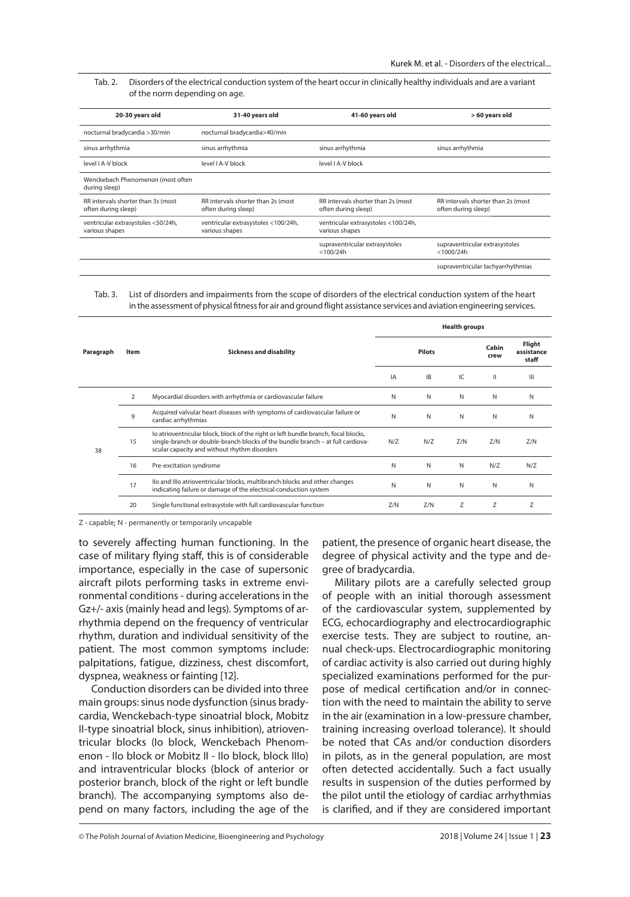#### Tab. 2. Disorders of the electrical conduction system of the heart occur in clinically healthy individuals and are a variant of the norm depending on age.

| 20-30 years old                                           | 31-40 years old                                           | 41-60 years old                                           | > 60 years old                                            |  |  |
|-----------------------------------------------------------|-----------------------------------------------------------|-----------------------------------------------------------|-----------------------------------------------------------|--|--|
| nocturnal bradycardia >30/min                             | nocturnal bradycardia>40/min                              |                                                           |                                                           |  |  |
| sinus arrhythmia                                          | sinus arrhythmia                                          | sinus arrhythmia                                          | sinus arrhythmia                                          |  |  |
| level LA-V block                                          | level LA-V block                                          | level LA-V block                                          |                                                           |  |  |
| Wenckebach Phenomenon (most often<br>during sleep)        |                                                           |                                                           |                                                           |  |  |
| RR intervals shorter than 3s (most<br>often during sleep) | RR intervals shorter than 2s (most<br>often during sleep) | RR intervals shorter than 2s (most<br>often during sleep) | RR intervals shorter than 2s (most<br>often during sleep) |  |  |
| ventricular extrasystoles <50/24h,<br>various shapes      | ventricular extrasystoles <100/24h,<br>various shapes     | ventricular extrasystoles <100/24h,<br>various shapes     |                                                           |  |  |
|                                                           |                                                           | supraventricular extrasystoles<br>$<$ 100/24h             | supraventricular extrasystoles<br>$<$ 1000/24h            |  |  |
|                                                           |                                                           |                                                           | supraventricular tachyarrhythmias                         |  |  |

#### Tab. 3. List of disorders and impairments from the scope of disorders of the electrical conduction system of the heart in the assessment of physical fitness for air and ground flight assistance services and aviation engineering services.

|           | Item           | <b>Sickness and disability</b>                                                                                                                                                                                       | <b>Health groups</b> |           |     |               |                               |
|-----------|----------------|----------------------------------------------------------------------------------------------------------------------------------------------------------------------------------------------------------------------|----------------------|-----------|-----|---------------|-------------------------------|
| Paragraph |                |                                                                                                                                                                                                                      | <b>Pilots</b>        |           |     | Cabin<br>crew | Flight<br>assistance<br>staff |
|           |                |                                                                                                                                                                                                                      | IA                   | <b>IB</b> | IC. | $\mathbf{I}$  | $\mathbf{m}$                  |
| 38        | $\overline{2}$ | Myocardial disorders with arrhythmia or cardiovascular failure                                                                                                                                                       | N                    | N         | N   | N             | N                             |
|           | 9              | Acquired valvular heart diseases with symptoms of cardiovascular failure or<br>cardiac arrhythmias                                                                                                                   | N                    | N         | N   | N             | N                             |
|           | 15             | lo atrioventricular block, block of the right or left bundle branch, focal blocks,<br>single-branch or double-branch blocks of the bundle branch - at full cardiova-<br>scular capacity and without rhythm disorders | N/Z                  | N/Z       | Z/N | Z/N           | Z/N                           |
|           | 16             | Pre-excitation syndrome                                                                                                                                                                                              | N                    | N         | N   | N/Z           | N/Z                           |
|           | 17             | Ilo and Illo atrioventricular blocks, multibranch blocks and other changes<br>indicating failure or damage of the electrical conduction system                                                                       | N                    | N         | N   | N             | N                             |
|           | 20             | Single functional extrasystole with full cardiovascular function                                                                                                                                                     | Z/N                  | Z/N       | Ζ   | Z             | Z                             |

Z - capable; N - permanently or temporarily uncapable

to severely affecting human functioning. In the case of military flying staff, this is of considerable importance, especially in the case of supersonic aircraft pilots performing tasks in extreme environmental conditions - during accelerations in the Gz+/- axis (mainly head and legs). Symptoms of arrhythmia depend on the frequency of ventricular rhythm, duration and individual sensitivity of the patient. The most common symptoms include: palpitations, fatigue, dizziness, chest discomfort, dyspnea, weakness or fainting [12].

Conduction disorders can be divided into three main groups: sinus node dysfunction (sinus bradycardia, Wenckebach-type sinoatrial block, Mobitz II-type sinoatrial block, sinus inhibition), atrioventricular blocks (Io block, Wenckebach Phenomenon - IIo block or Mobitz II - IIo block, block IIIo) and intraventricular blocks (block of anterior or posterior branch, block of the right or left bundle branch). The accompanying symptoms also depend on many factors, including the age of the

patient, the presence of organic heart disease, the degree of physical activity and the type and degree of bradycardia.

Military pilots are a carefully selected group of people with an initial thorough assessment of the cardiovascular system, supplemented by ECG, echocardiography and electrocardiographic exercise tests. They are subject to routine, annual check-ups. Electrocardiographic monitoring of cardiac activity is also carried out during highly specialized examinations performed for the purpose of medical certification and/or in connection with the need to maintain the ability to serve in the air (examination in a low-pressure chamber, training increasing overload tolerance). It should be noted that CAs and/or conduction disorders in pilots, as in the general population, are most often detected accidentally. Such a fact usually results in suspension of the duties performed by the pilot until the etiology of cardiac arrhythmias is clarified, and if they are considered important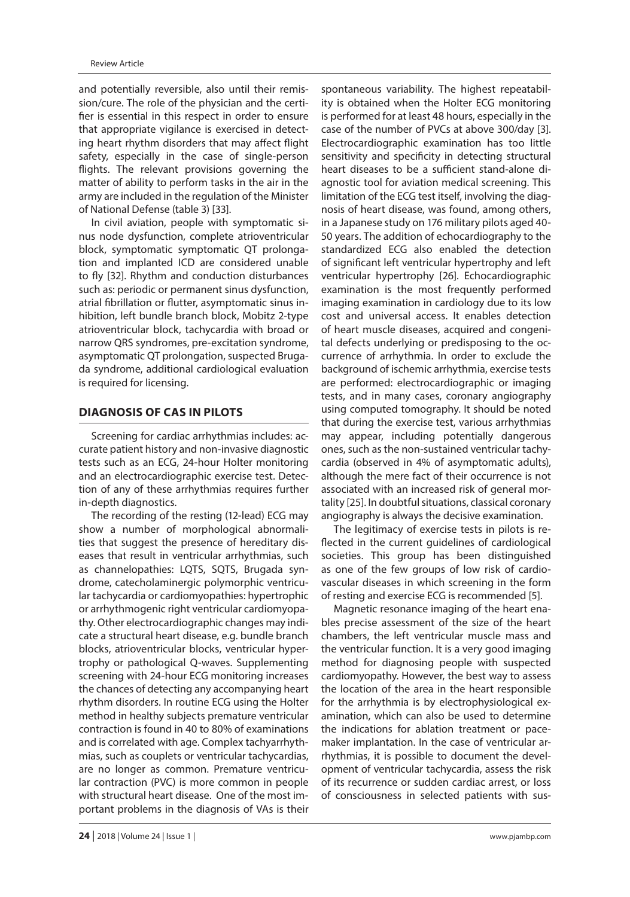and potentially reversible, also until their remission/cure. The role of the physician and the certifier is essential in this respect in order to ensure that appropriate vigilance is exercised in detecting heart rhythm disorders that may affect flight safety, especially in the case of single-person flights. The relevant provisions governing the matter of ability to perform tasks in the air in the army are included in the regulation of the Minister of National Defense (table 3) [33].

In civil aviation, people with symptomatic sinus node dysfunction, complete atrioventricular block, symptomatic symptomatic QT prolongation and implanted ICD are considered unable to fly [32]. Rhythm and conduction disturbances such as: periodic or permanent sinus dysfunction, atrial fibrillation or flutter, asymptomatic sinus inhibition, left bundle branch block, Mobitz 2-type atrioventricular block, tachycardia with broad or narrow QRS syndromes, pre-excitation syndrome, asymptomatic QT prolongation, suspected Brugada syndrome, additional cardiological evaluation is required for licensing.

# **DIAGNOSIS OF CAS IN PILOTS**

Screening for cardiac arrhythmias includes: accurate patient history and non-invasive diagnostic tests such as an ECG, 24-hour Holter monitoring and an electrocardiographic exercise test. Detection of any of these arrhythmias requires further in-depth diagnostics.

The recording of the resting (12-lead) ECG may show a number of morphological abnormalities that suggest the presence of hereditary diseases that result in ventricular arrhythmias, such as channelopathies: LQTS, SQTS, Brugada syndrome, catecholaminergic polymorphic ventricular tachycardia or cardiomyopathies: hypertrophic or arrhythmogenic right ventricular cardiomyopathy. Other electrocardiographic changes may indicate a structural heart disease, e.g. bundle branch blocks, atrioventricular blocks, ventricular hypertrophy or pathological Q-waves. Supplementing screening with 24-hour ECG monitoring increases the chances of detecting any accompanying heart rhythm disorders. In routine ECG using the Holter method in healthy subjects premature ventricular contraction is found in 40 to 80% of examinations and is correlated with age. Complex tachyarrhythmias, such as couplets or ventricular tachycardias, are no longer as common. Premature ventricular contraction (PVC) is more common in people with structural heart disease. One of the most important problems in the diagnosis of VAs is their spontaneous variability. The highest repeatability is obtained when the Holter ECG monitoring is performed for at least 48 hours, especially in the case of the number of PVCs at above 300/day [3]. Electrocardiographic examination has too little sensitivity and specificity in detecting structural heart diseases to be a sufficient stand-alone diagnostic tool for aviation medical screening. This limitation of the ECG test itself, involving the diagnosis of heart disease, was found, among others, in a Japanese study on 176 military pilots aged 40- 50 years. The addition of echocardiography to the standardized ECG also enabled the detection of significant left ventricular hypertrophy and left ventricular hypertrophy [26]. Echocardiographic examination is the most frequently performed imaging examination in cardiology due to its low cost and universal access. It enables detection of heart muscle diseases, acquired and congenital defects underlying or predisposing to the occurrence of arrhythmia. In order to exclude the background of ischemic arrhythmia, exercise tests are performed: electrocardiographic or imaging tests, and in many cases, coronary angiography using computed tomography. It should be noted that during the exercise test, various arrhythmias may appear, including potentially dangerous ones, such as the non-sustained ventricular tachycardia (observed in 4% of asymptomatic adults), although the mere fact of their occurrence is not associated with an increased risk of general mortality [25]. In doubtful situations, classical coronary angiography is always the decisive examination.

The legitimacy of exercise tests in pilots is reflected in the current guidelines of cardiological societies. This group has been distinguished as one of the few groups of low risk of cardiovascular diseases in which screening in the form of resting and exercise ECG is recommended [5].

Magnetic resonance imaging of the heart enables precise assessment of the size of the heart chambers, the left ventricular muscle mass and the ventricular function. It is a very good imaging method for diagnosing people with suspected cardiomyopathy. However, the best way to assess the location of the area in the heart responsible for the arrhythmia is by electrophysiological examination, which can also be used to determine the indications for ablation treatment or pacemaker implantation. In the case of ventricular arrhythmias, it is possible to document the development of ventricular tachycardia, assess the risk of its recurrence or sudden cardiac arrest, or loss of consciousness in selected patients with sus-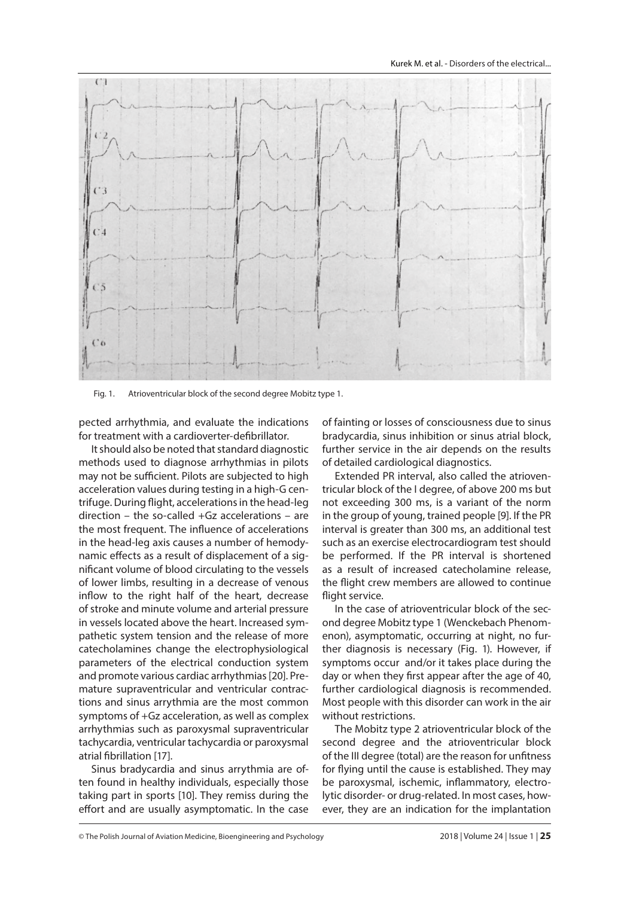

Fig. 1. Atrioventricular block of the second degree Mobitz type 1.

pected arrhythmia, and evaluate the indications for treatment with a cardioverter-defibrillator.

It should also be noted that standard diagnostic methods used to diagnose arrhythmias in pilots may not be sufficient. Pilots are subjected to high acceleration values during testing in a high-G centrifuge. During flight, accelerations in the head-leg direction – the so-called +Gz accelerations – are the most frequent. The influence of accelerations in the head-leg axis causes a number of hemodynamic effects as a result of displacement of a significant volume of blood circulating to the vessels of lower limbs, resulting in a decrease of venous inflow to the right half of the heart, decrease of stroke and minute volume and arterial pressure in vessels located above the heart. Increased sympathetic system tension and the release of more catecholamines change the electrophysiological parameters of the electrical conduction system and promote various cardiac arrhythmias [20]. Premature supraventricular and ventricular contractions and sinus arrythmia are the most common symptoms of +Gz acceleration, as well as complex arrhythmias such as paroxysmal supraventricular tachycardia, ventricular tachycardia or paroxysmal atrial fibrillation [17].

Sinus bradycardia and sinus arrythmia are often found in healthy individuals, especially those taking part in sports [10]. They remiss during the effort and are usually asymptomatic. In the case

of fainting or losses of consciousness due to sinus bradycardia, sinus inhibition or sinus atrial block, further service in the air depends on the results of detailed cardiological diagnostics.

Extended PR interval, also called the atrioventricular block of the I degree, of above 200 ms but not exceeding 300 ms, is a variant of the norm in the group of young, trained people [9]. If the PR interval is greater than 300 ms, an additional test such as an exercise electrocardiogram test should be performed. If the PR interval is shortened as a result of increased catecholamine release, the flight crew members are allowed to continue flight service.

In the case of atrioventricular block of the second degree Mobitz type 1 (Wenckebach Phenomenon), asymptomatic, occurring at night, no further diagnosis is necessary (Fig. 1). However, if symptoms occur and/or it takes place during the day or when they first appear after the age of 40, further cardiological diagnosis is recommended. Most people with this disorder can work in the air without restrictions.

The Mobitz type 2 atrioventricular block of the second degree and the atrioventricular block of the III degree (total) are the reason for unfitness for flying until the cause is established. They may be paroxysmal, ischemic, inflammatory, electrolytic disorder- or drug-related. In most cases, however, they are an indication for the implantation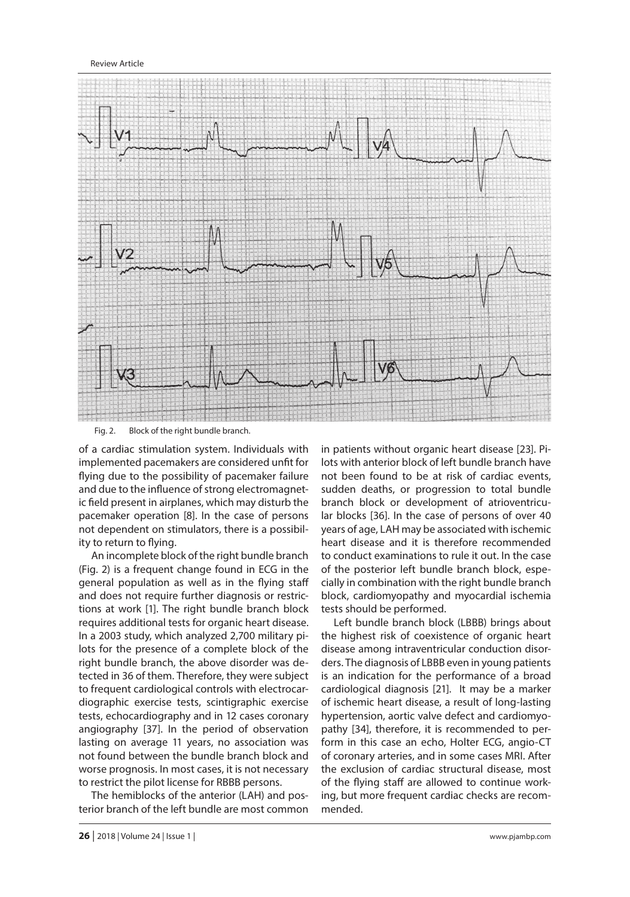### Review Article



Fig. 2. Block of the right bundle branch.

of a cardiac stimulation system. Individuals with implemented pacemakers are considered unfit for flying due to the possibility of pacemaker failure and due to the influence of strong electromagnetic field present in airplanes, which may disturb the pacemaker operation [8]. In the case of persons not dependent on stimulators, there is a possibility to return to flying.

An incomplete block of the right bundle branch (Fig. 2) is a frequent change found in ECG in the general population as well as in the flying staff and does not require further diagnosis or restrictions at work [1]. The right bundle branch block requires additional tests for organic heart disease. In a 2003 study, which analyzed 2,700 military pilots for the presence of a complete block of the right bundle branch, the above disorder was detected in 36 of them. Therefore, they were subject to frequent cardiological controls with electrocardiographic exercise tests, scintigraphic exercise tests, echocardiography and in 12 cases coronary angiography [37]. In the period of observation lasting on average 11 years, no association was not found between the bundle branch block and worse prognosis. In most cases, it is not necessary to restrict the pilot license for RBBB persons.

The hemiblocks of the anterior (LAH) and posterior branch of the left bundle are most common in patients without organic heart disease [23]. Pilots with anterior block of left bundle branch have not been found to be at risk of cardiac events, sudden deaths, or progression to total bundle branch block or development of atrioventricular blocks [36]. In the case of persons of over 40 years of age, LAH may be associated with ischemic heart disease and it is therefore recommended to conduct examinations to rule it out. In the case of the posterior left bundle branch block, especially in combination with the right bundle branch block, cardiomyopathy and myocardial ischemia tests should be performed.

Left bundle branch block (LBBB) brings about the highest risk of coexistence of organic heart disease among intraventricular conduction disorders. The diagnosis of LBBB even in young patients is an indication for the performance of a broad cardiological diagnosis [21]. It may be a marker of ischemic heart disease, a result of long-lasting hypertension, aortic valve defect and cardiomyopathy [34], therefore, it is recommended to perform in this case an echo, Holter ECG, angio-CT of coronary arteries, and in some cases MRI. After the exclusion of cardiac structural disease, most of the flying staff are allowed to continue working, but more frequent cardiac checks are recommended.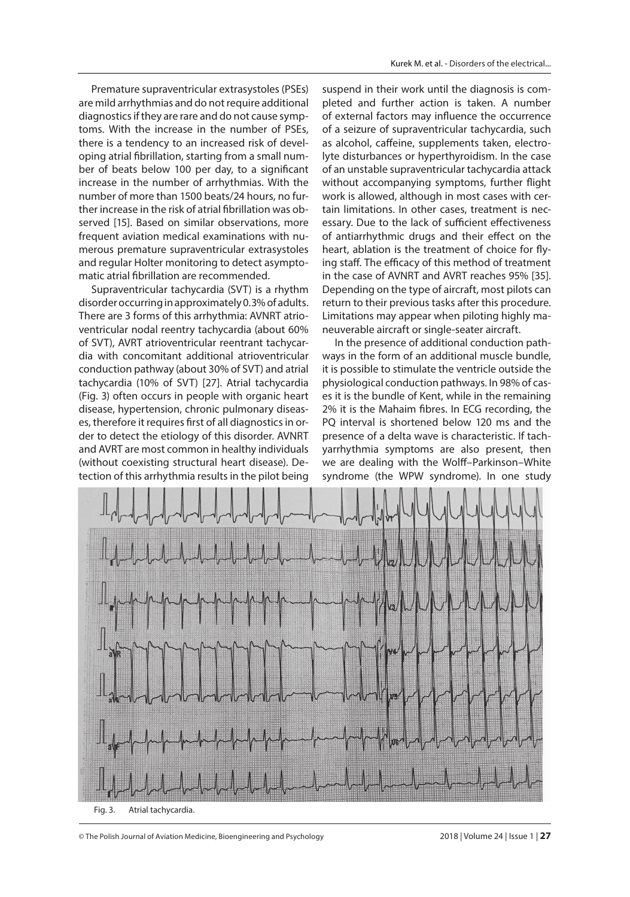Premature supraventricular extrasystoles (PSEs) are mild arrhythmias and do not require additional diagnostics if they are rare and do not cause symptoms. With the increase in the number of PSEs, there is a tendency to an increased risk of developing atrial fibrillation, starting from a small number of beats below 100 per day, to a significant increase in the number of arrhythmias. With the number of more than 1500 beats/24 hours, no further increase in the risk of atrial fibrillation was observed [15]. Based on similar observations, more frequent aviation medical examinations with numerous premature supraventricular extrasystoles and regular Holter monitoring to detect asymptomatic atrial fibrillation are recommended.

Supraventricular tachycardia (SVT) is a rhythm disorder occurring in approximately 0.3% of adults. There are 3 forms of this arrhythmia: AVNRT atrioventricular nodal reentry tachycardia (about 60% of SVT), AVRT atrioventricular reentrant tachycardia with concomitant additional atrioventricular conduction pathway (about 30% of SVT) and atrial tachycardia (10% of SVT) [27]. Atrial tachycardia (Fig. 3) often occurs in people with organic heart disease, hypertension, chronic pulmonary diseases, therefore it requires first of all diagnostics in order to detect the etiology of this disorder. AVNRT and AVRT are most common in healthy individuals (without coexisting structural heart disease). Detection of this arrhythmia results in the pilot being suspend in their work until the diagnosis is completed and further action is taken. A number of external factors may influence the occurrence of a seizure of supraventricular tachycardia, such as alcohol, caffeine, supplements taken, electrolyte disturbances or hyperthyroidism. In the case of an unstable supraventricular tachycardia attack without accompanying symptoms, further flight work is allowed, although in most cases with certain limitations. In other cases, treatment is necessary. Due to the lack of sufficient effectiveness of antiarrhythmic drugs and their effect on the heart, ablation is the treatment of choice for flying staff. The efficacy of this method of treatment in the case of AVNRT and AVRT reaches 95% [35]. Depending on the type of aircraft, most pilots can return to their previous tasks after this procedure. Limitations may appear when piloting highly maneuverable aircraft or single-seater aircraft.

In the presence of additional conduction pathways in the form of an additional muscle bundle, it is possible to stimulate the ventricle outside the physiological conduction pathways. In 98% of cases it is the bundle of Kent, while in the remaining 2% it is the Mahaim fibres. In ECG recording, the PQ interval is shortened below 120 ms and the presence of a delta wave is characteristic. If tachyarrhythmia symptoms are also present, then we are dealing with the Wolff-Parkinson-White syndrome (the WPW syndrome). In one study



Fig. 3. Atrial tachycardia.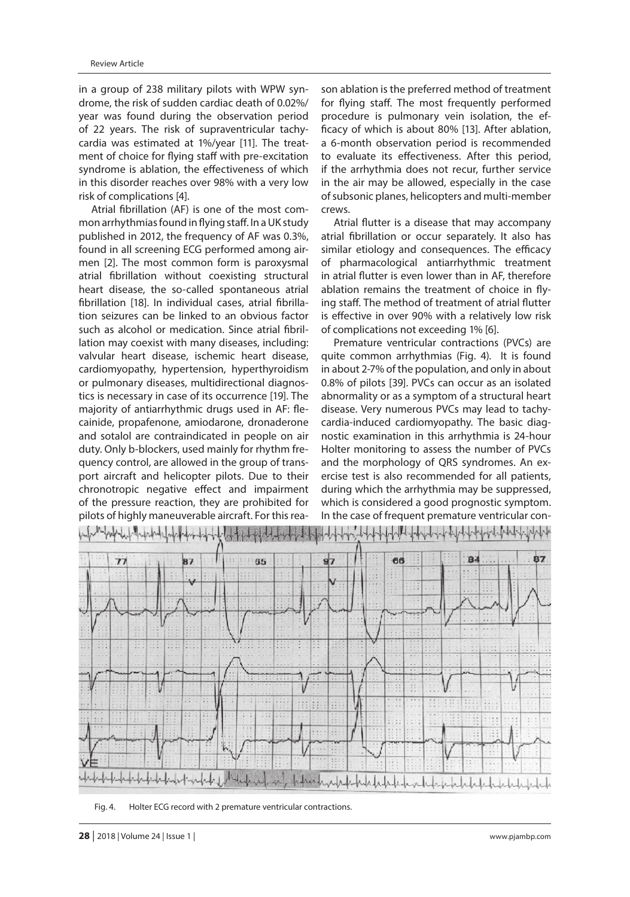in a group of 238 military pilots with WPW syndrome, the risk of sudden cardiac death of 0.02%/ year was found during the observation period of 22 years. The risk of supraventricular tachycardia was estimated at 1%/year [11]. The treatment of choice for flying staff with pre-excitation syndrome is ablation, the effectiveness of which in this disorder reaches over 98% with a very low risk of complications [4].

Atrial fibrillation (AF) is one of the most common arrhythmias found in flying staff. In a UK study published in 2012, the frequency of AF was 0.3%, found in all screening ECG performed among airmen [2]. The most common form is paroxysmal atrial fibrillation without coexisting structural heart disease, the so-called spontaneous atrial fibrillation [18]. In individual cases, atrial fibrillation seizures can be linked to an obvious factor such as alcohol or medication. Since atrial fibrillation may coexist with many diseases, including: valvular heart disease, ischemic heart disease, cardiomyopathy, hypertension, hyperthyroidism or pulmonary diseases, multidirectional diagnostics is necessary in case of its occurrence [19]. The majority of antiarrhythmic drugs used in AF: flecainide, propafenone, amiodarone, dronaderone and sotalol are contraindicated in people on air duty. Only b-blockers, used mainly for rhythm frequency control, are allowed in the group of transport aircraft and helicopter pilots. Due to their chronotropic negative effect and impairment of the pressure reaction, they are prohibited for pilots of highly maneuverable aircraft. For this reason ablation is the preferred method of treatment for flying staff. The most frequently performed procedure is pulmonary vein isolation, the efficacy of which is about 80% [13]. After ablation, a 6-month observation period is recommended to evaluate its effectiveness. After this period, if the arrhythmia does not recur, further service in the air may be allowed, especially in the case of subsonic planes, helicopters and multi-member crews.

Atrial flutter is a disease that may accompany atrial fibrillation or occur separately. It also has similar etiology and consequences. The efficacy of pharmacological antiarrhythmic treatment in atrial flutter is even lower than in AF, therefore ablation remains the treatment of choice in flying staff. The method of treatment of atrial flutter is effective in over 90% with a relatively low risk of complications not exceeding 1% [6].

Premature ventricular contractions (PVCs) are quite common arrhythmias (Fig. 4). It is found in about 2-7% of the population, and only in about 0.8% of pilots [39]. PVCs can occur as an isolated abnormality or as a symptom of a structural heart disease. Very numerous PVCs may lead to tachycardia-induced cardiomyopathy. The basic diagnostic examination in this arrhythmia is 24-hour Holter monitoring to assess the number of PVCs and the morphology of QRS syndromes. An exercise test is also recommended for all patients, during which the arrhythmia may be suppressed, which is considered a good prognostic symptom. In the case of frequent premature ventricular con-



Fig. 4. Holter ECG record with 2 premature ventricular contractions.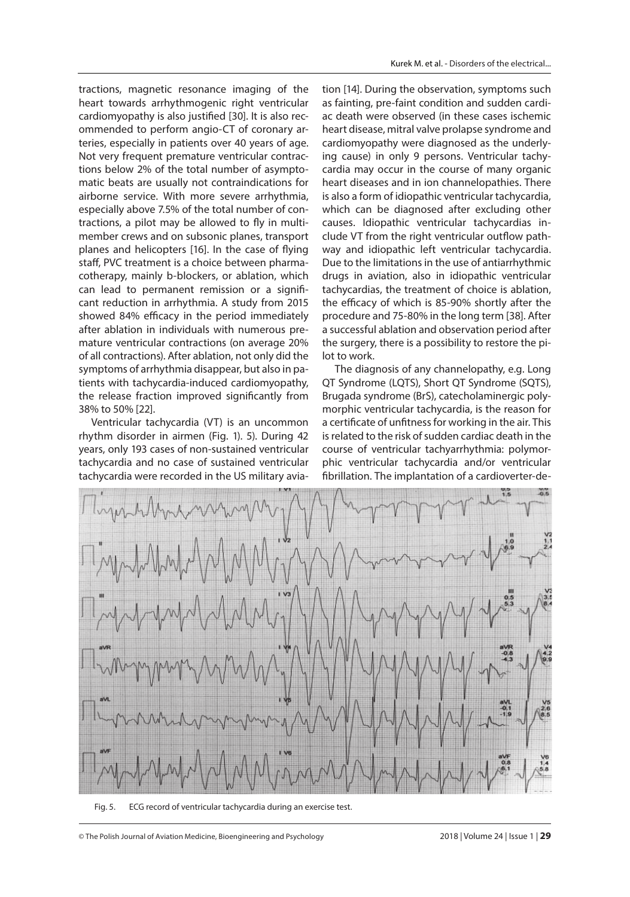tractions, magnetic resonance imaging of the heart towards arrhythmogenic right ventricular cardiomyopathy is also justified [30]. It is also recommended to perform angio-CT of coronary arteries, especially in patients over 40 years of age. Not very frequent premature ventricular contractions below 2% of the total number of asymptomatic beats are usually not contraindications for airborne service. With more severe arrhythmia, especially above 7.5% of the total number of contractions, a pilot may be allowed to fly in multimember crews and on subsonic planes, transport planes and helicopters [16]. In the case of flying staff, PVC treatment is a choice between pharmacotherapy, mainly b-blockers, or ablation, which can lead to permanent remission or a significant reduction in arrhythmia. A study from 2015 showed 84% efficacy in the period immediately after ablation in individuals with numerous premature ventricular contractions (on average 20% of all contractions). After ablation, not only did the symptoms of arrhythmia disappear, but also in patients with tachycardia-induced cardiomyopathy, the release fraction improved significantly from 38% to 50% [22].

Ventricular tachycardia (VT) is an uncommon rhythm disorder in airmen (Fig. 1). 5). During 42 years, only 193 cases of non-sustained ventricular tachycardia and no case of sustained ventricular tachycardia were recorded in the US military avia-

tion [14]. During the observation, symptoms such as fainting, pre-faint condition and sudden cardiac death were observed (in these cases ischemic heart disease, mitral valve prolapse syndrome and cardiomyopathy were diagnosed as the underlying cause) in only 9 persons. Ventricular tachycardia may occur in the course of many organic heart diseases and in ion channelopathies. There is also a form of idiopathic ventricular tachycardia, which can be diagnosed after excluding other causes. Idiopathic ventricular tachycardias include VT from the right ventricular outflow pathway and idiopathic left ventricular tachycardia. Due to the limitations in the use of antiarrhythmic drugs in aviation, also in idiopathic ventricular tachycardias, the treatment of choice is ablation, the efficacy of which is 85-90% shortly after the procedure and 75-80% in the long term [38]. After a successful ablation and observation period after the surgery, there is a possibility to restore the pilot to work.

The diagnosis of any channelopathy, e.g. Long QT Syndrome (LQTS), Short QT Syndrome (SQTS), Brugada syndrome (BrS), catecholaminergic polymorphic ventricular tachycardia, is the reason for a certificate of unfitness for working in the air. This is related to the risk of sudden cardiac death in the course of ventricular tachyarrhythmia: polymorphic ventricular tachycardia and/or ventricular fibrillation. The implantation of a cardioverter-de-



Fig. 5. ECG record of ventricular tachycardia during an exercise test.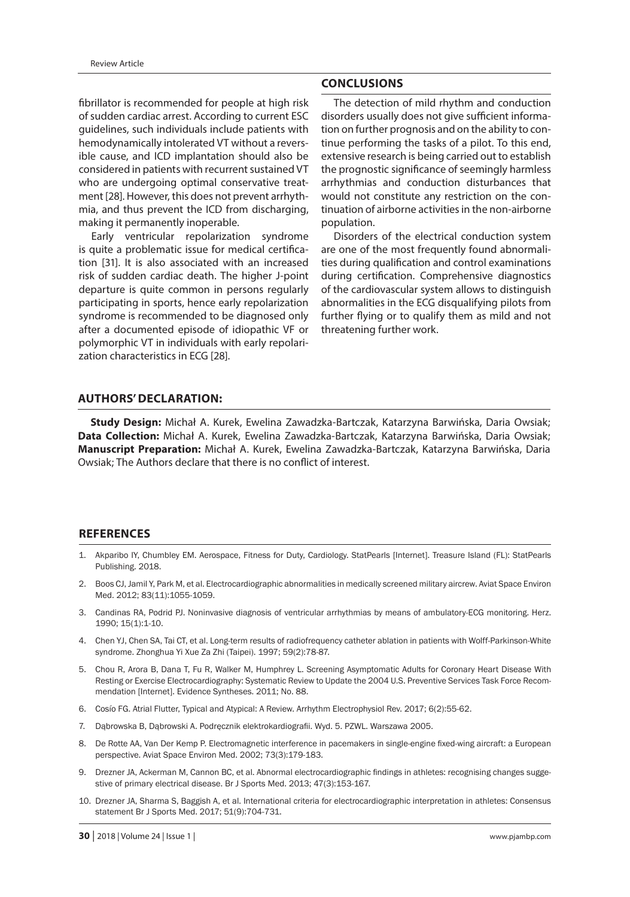fibrillator is recommended for people at high risk of sudden cardiac arrest. According to current ESC guidelines, such individuals include patients with hemodynamically intolerated VT without a reversible cause, and ICD implantation should also be considered in patients with recurrent sustained VT who are undergoing optimal conservative treatment [28]. However, this does not prevent arrhythmia, and thus prevent the ICD from discharging, making it permanently inoperable.

Early ventricular repolarization syndrome is quite a problematic issue for medical certification [31]. It is also associated with an increased risk of sudden cardiac death. The higher J-point departure is quite common in persons regularly participating in sports, hence early repolarization syndrome is recommended to be diagnosed only after a documented episode of idiopathic VF or polymorphic VT in individuals with early repolarization characteristics in ECG [28].

## **CONCLUSIONS**

The detection of mild rhythm and conduction disorders usually does not give sufficient information on further prognosis and on the ability to continue performing the tasks of a pilot. To this end, extensive research is being carried out to establish the prognostic significance of seemingly harmless arrhythmias and conduction disturbances that would not constitute any restriction on the continuation of airborne activities in the non-airborne population.

Disorders of the electrical conduction system are one of the most frequently found abnormalities during qualification and control examinations during certification. Comprehensive diagnostics of the cardiovascular system allows to distinguish abnormalities in the ECG disqualifying pilots from further flying or to qualify them as mild and not threatening further work.

# **AUTHORS' DECLARATION:**

**Study Design:** Michał A. Kurek, Ewelina Zawadzka-Bartczak, Katarzyna Barwińska, Daria Owsiak; **Data Collection:** Michał A. Kurek, Ewelina Zawadzka-Bartczak, Katarzyna Barwińska, Daria Owsiak; **Manuscript Preparation:** Michał A. Kurek, Ewelina Zawadzka-Bartczak, Katarzyna Barwińska, Daria Owsiak; The Authors declare that there is no conflict of interest.

# **REFERENCES**

- 1. Akparibo IY, Chumbley EM. Aerospace, Fitness for Duty, Cardiology. StatPearls [Internet]. Treasure Island (FL): StatPearls Publishing. 2018.
- 2. Boos CJ, Jamil Y, Park M, et al. Electrocardiographic abnormalities in medically screened military aircrew. Aviat Space Environ Med. 2012; 83(11):1055-1059.
- 3. Candinas RA, Podrid PJ. Noninvasive diagnosis of ventricular arrhythmias by means of ambulatory-ECG monitoring. Herz. 1990; 15(1):1-10.
- 4. Chen YJ, Chen SA, Tai CT, et al. Long-term results of radiofrequency catheter ablation in patients with Wolff-Parkinson-White syndrome. Zhonghua Yi Xue Za Zhi (Taipei). 1997; 59(2):78-87.
- 5. Chou R, Arora B, Dana T, Fu R, Walker M, Humphrey L. Screening Asymptomatic Adults for Coronary Heart Disease With Resting or Exercise Electrocardiography: Systematic Review to Update the 2004 U.S. Preventive Services Task Force Recommendation [Internet]. Evidence Syntheses. 2011; No. 88.
- 6. Cosío FG. Atrial Flutter, Typical and Atypical: A Review. Arrhythm Electrophysiol Rev. 2017; 6(2):55-62.
- 7. Dąbrowska B, Dąbrowski A. Podręcznik elektrokardiografii. Wyd. 5. PZWL. Warszawa 2005.
- 8. De Rotte AA, Van Der Kemp P. Electromagnetic interference in pacemakers in single-engine fixed-wing aircraft: a European perspective. Aviat Space Environ Med. 2002; 73(3):179-183.
- 9. Drezner JA, Ackerman M, Cannon BC, et al. Abnormal electrocardiographic findings in athletes: recognising changes suggestive of primary electrical disease. Br J Sports Med. 2013; 47(3):153-167.
- 10. Drezner JA, Sharma S, Baggish A, et al. International criteria for electrocardiographic interpretation in athletes: Consensus statement Br J Sports Med. 2017; 51(9):704-731.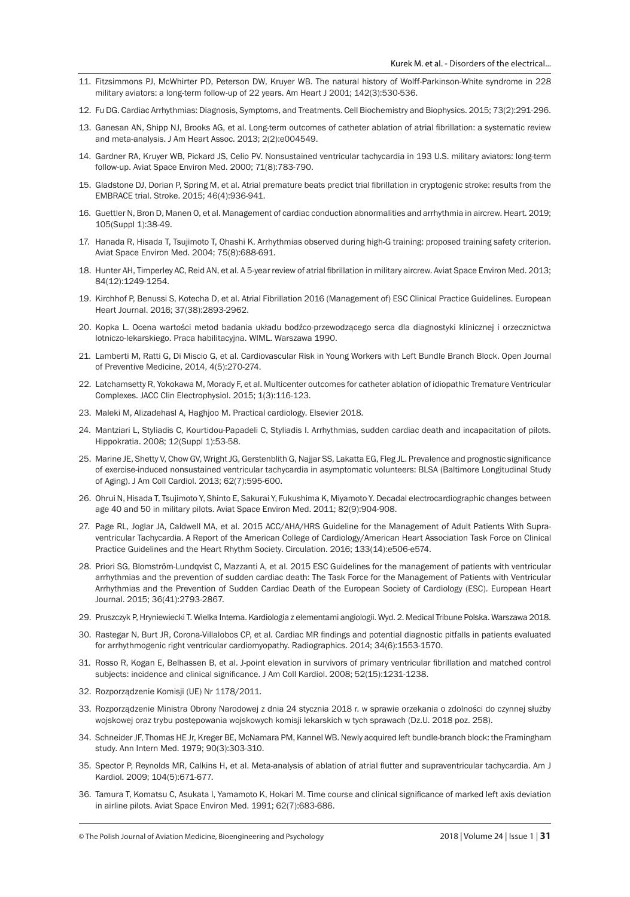- 11. Fitzsimmons PJ, McWhirter PD, Peterson DW, Kruyer WB. The natural history of Wolff-Parkinson-White syndrome in 228 military aviators: a long-term follow-up of 22 years. Am Heart J 2001; 142(3):530-536.
- 12. Fu DG. Cardiac Arrhythmias: Diagnosis, Symptoms, and Treatments. Cell Biochemistry and Biophysics. 2015; 73(2):291-296.
- 13. Ganesan AN, Shipp NJ, Brooks AG, et al. Long-term outcomes of catheter ablation of atrial fibrillation: a systematic review and meta-analysis. J Am Heart Assoc. 2013; 2(2):e004549.
- 14. Gardner RA, Kruyer WB, Pickard JS, Celio PV. Nonsustained ventricular tachycardia in 193 U.S. military aviators: long-term follow-up. Aviat Space Environ Med. 2000; 71(8):783-790.
- 15. Gladstone DJ, Dorian P, Spring M, et al. Atrial premature beats predict trial fibrillation in cryptogenic stroke: results from the EMBRACE trial. Stroke. 2015; 46(4):936-941.
- 16. Guettler N, Bron D, Manen O, et al. Management of cardiac conduction abnormalities and arrhythmia in aircrew. Heart. 2019; 105(Suppl 1):38-49.
- 17. Hanada R, Hisada T, Tsujimoto T, Ohashi K. Arrhythmias observed during high-G training: proposed training safety criterion. Aviat Space Environ Med. 2004; 75(8):688-691.
- 18. Hunter AH, Timperley AC, Reid AN, et al. A 5-year review of atrial fibrillation in military aircrew. Aviat Space Environ Med. 2013; 84(12):1249-1254.
- 19. Kirchhof P, Benussi S, Kotecha D, et al. Atrial Fibrillation 2016 (Management of) ESC Clinical Practice Guidelines. European Heart Journal. 2016; 37(38):2893-2962.
- 20. Kopka L. Ocena wartości metod badania układu bodźco-przewodzącego serca dla diagnostyki klinicznej i orzecznictwa lotniczo-lekarskiego. Praca habilitacyjna. WIML. Warszawa 1990.
- 21. Lamberti M, Ratti G, Di Miscio G, et al. Cardiovascular Risk in Young Workers with Left Bundle Branch Block. Open Journal of Preventive Medicine, 2014, 4(5):270-274.
- 22. Latchamsetty R, Yokokawa M, Morady F, et al. Multicenter outcomes for catheter ablation of idiopathic Tremature Ventricular Complexes. JACC Clin Electrophysiol. 2015; 1(3):116-123.
- 23. Maleki M, Alizadehasl A, Haghjoo M. Practical cardiology. Elsevier 2018.
- 24. Mantziari L, Styliadis C, Kourtidou-Papadeli C, Styliadis I. Arrhythmias, sudden cardiac death and incapacitation of pilots. Hippokratia. 2008; 12(Suppl 1):53-58.
- 25. Marine JE, Shetty V, Chow GV, Wright JG, Gerstenblith G, Najjar SS, Lakatta EG, Fleg JL. Prevalence and prognostic significance of exercise-induced nonsustained ventricular tachycardia in asymptomatic volunteers: BLSA (Baltimore Longitudinal Study of Aging). J Am Coll Cardiol. 2013; 62(7):595-600.
- 26. Ohrui N, Hisada T, Tsujimoto Y, Shinto E, Sakurai Y, Fukushima K, Miyamoto Y. Decadal electrocardiographic changes between age 40 and 50 in military pilots. Aviat Space Environ Med. 2011; 82(9):904-908.
- 27. Page RL, Joglar JA, Caldwell MA, et al. 2015 ACC/AHA/HRS Guideline for the Management of Adult Patients With Supraventricular Tachycardia. A Report of the American College of Cardiology/American Heart Association Task Force on Clinical Practice Guidelines and the Heart Rhythm Society. Circulation. 2016; 133(14):e506-e574.
- 28. Priori SG, Blomström-Lundqvist C, Mazzanti A, et al. 2015 ESC Guidelines for the management of patients with ventricular arrhythmias and the prevention of sudden cardiac death: The Task Force for the Management of Patients with Ventricular Arrhythmias and the Prevention of Sudden Cardiac Death of the European Society of Cardiology (ESC). European Heart Journal. 2015; 36(41):2793-2867.
- 29. Pruszczyk P, Hryniewiecki T. Wielka Interna. Kardiologia z elementami angiologii. Wyd. 2. Medical Tribune Polska. Warszawa 2018.
- 30. Rastegar N, Burt JR, Corona-Villalobos CP, et al. Cardiac MR findings and potential diagnostic pitfalls in patients evaluated for arrhythmogenic right ventricular cardiomyopathy. Radiographics. 2014; 34(6):1553-1570.
- 31. Rosso R, Kogan E, Belhassen B, et al. J-point elevation in survivors of primary ventricular fibrillation and matched control subjects: incidence and clinical significance. J Am Coll Kardiol. 2008; 52(15):1231-1238.
- 32. Rozporządzenie Komisji (UE) Nr 1178/2011.
- 33. Rozporządzenie Ministra Obrony Narodowej z dnia 24 stycznia 2018 r. w sprawie orzekania o zdolności do czynnej służby wojskowej oraz trybu postępowania wojskowych komisji lekarskich w tych sprawach (Dz.U. 2018 poz. 258).
- 34. Schneider JF, Thomas HE Jr, Kreger BE, McNamara PM, Kannel WB. Newly acquired left bundle-branch block: the Framingham study. Ann Intern Med. 1979; 90(3):303-310.
- 35. Spector P, Reynolds MR, Calkins H, et al. Meta-analysis of ablation of atrial flutter and supraventricular tachycardia. Am J Kardiol. 2009; 104(5):671-677.
- 36. Tamura T, Komatsu C, Asukata I, Yamamoto K, Hokari M. Time course and clinical significance of marked left axis deviation in airline pilots. Aviat Space Environ Med. 1991; 62(7):683-686.